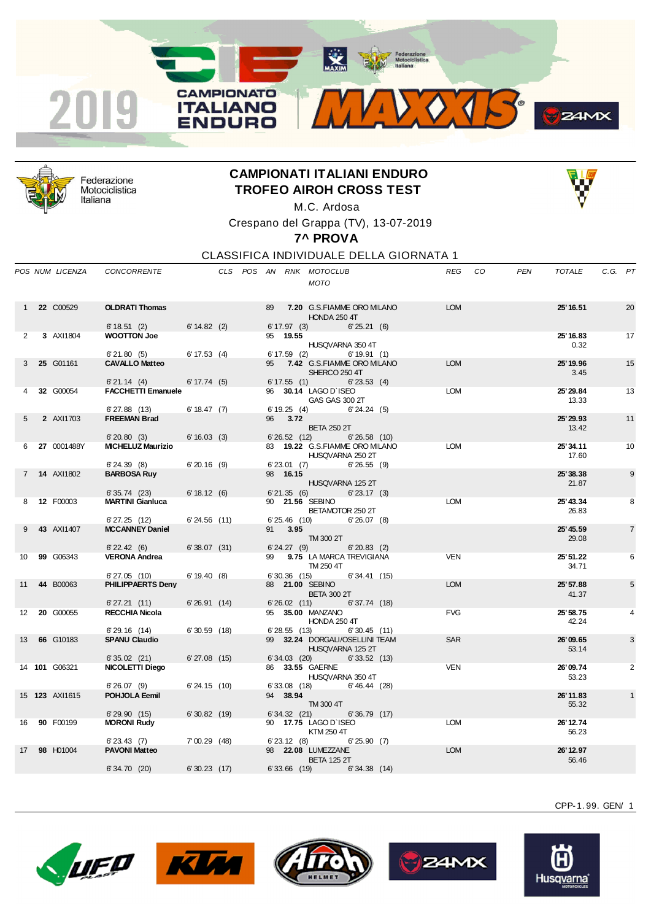



Federazione Motociclistica Italiana

## **CAMPIONATI ITALIANI ENDURO TROFEO AIROH CROSS TEST** M.C. Ardosa



Crespano del Grappa (TV), 13-07-2019

**7^ PROVA**

CLASSIFICA INDIVIDUALE DELLA GIORNATA 1

|                   | POS NUM LICENZA | <b>CONCORRENTE</b>                       |                   |  |    |                            | CLS POS AN RNK MOTOCLUB<br><b>MOTO</b>                            | REG        | - CO | <b>PEN</b> | <b>TOTALE</b>      | C.G. PT |                |
|-------------------|-----------------|------------------------------------------|-------------------|--|----|----------------------------|-------------------------------------------------------------------|------------|------|------------|--------------------|---------|----------------|
|                   | 22 C00529       | <b>OLDRATI Thomas</b><br>$6' 18.51$ (2)  | $6' 14.82$ (2)    |  | 89 | $6' 17.97$ (3)             | 7.20 G.S. FIAMME ORO MILANO<br><b>HONDA 250 4T</b><br>6'25.21(6)  | <b>LOM</b> |      |            | 25' 16.51          |         | 20             |
| 2                 | 3 AXI1804       | <b>WOOTTON Joe</b><br>6'21.80(5)         | $6' 17.53$ (4)    |  |    | 95 19.55<br>6'17.59(2)     | HUSQVARNA 350 4T<br>6'19.91(1)                                    |            |      |            | 25' 16.83<br>0.32  |         | 17             |
| 3                 | 25 G01161       | <b>CAVALLO Matteo</b><br>6'21.14(4)      | 6' 17.74 (5)      |  | 95 | 6' 17.55(1)                | 7.42 G.S.FIAMME ORO MILANO<br>SHERCO 250 4T<br>$6'$ 23.53 (4)     | <b>LOM</b> |      |            | 25' 19.96<br>3.45  |         | 15             |
|                   | 32 G00054       | <b>FACCHETTI Emanuele</b><br>6'27.88(13) | 6' 18.47 (7)      |  |    | 6'19.25(4)                 | 96 30.14 LAGO D'ISEO<br>GAS GAS 300 2T<br>6'24.24(5)              | <b>LOM</b> |      |            | 25' 29.84<br>13.33 |         | 13             |
| 5                 | 2 AXI1703       | <b>FREEMAN Brad</b><br>6'20.80(3)        | $6' 16.03$ (3)    |  | 96 | 3.72<br>6'26.52(12)        | <b>BETA 250 2T</b><br>6'26.58(10)                                 |            |      |            | 25' 29.93<br>13.42 |         | 11             |
| 6                 | 27 0001488Y     | <b>MICHELUZ Maurizio</b><br>6'24.39(8)   | $6'20.16$ (9)     |  |    | 6'23.01(7)                 | 83 19.22 G.S.FIAMME ORO MILANO<br>HUSQVARNA 250 2T<br>6'26.55(9)  | <b>LOM</b> |      |            | 25' 34.11<br>17.60 |         | 10             |
| $\overline{7}$    | 14 AXI1802      | <b>BARBOSA Ruy</b>                       |                   |  |    | 98 16.15                   | HUSQVARNA 125 2T                                                  |            |      |            | 25'38.38<br>21.87  |         | 9              |
| 8                 | 12 F00003       | 6'35.74(23)<br><b>MARTINI Gianluca</b>   | 6' 18.12 (6)      |  |    | 6'21.35(6)                 | $6'$ 23.17 $(3)$<br>90 21.56 SEBINO<br>BETAMOTOR 250 2T           | <b>LOM</b> |      |            | 25' 43.34<br>26.83 |         | 8              |
| 9                 | 43 AXI1407      | 6'27.25(12)<br><b>MCCANNEY Daniel</b>    | $6'24.56$ (11)    |  | 91 | $6'25.46$ (10)<br>3.95     | $6'26.07$ (8)<br>TM 300 2T                                        |            |      |            | 25' 45.59<br>29.08 |         | $\overline{7}$ |
| 10                | 99 G06343       | $6'$ 22.42 (6)<br><b>VERONA Andrea</b>   | 6'38.07(31)       |  | 99 | 6'24.27(9)                 | $6' 20.83$ (2)<br>9.75 LA MARCA TREVIGIANA<br>TM 250 4T           | <b>VEN</b> |      |            | 25' 51.22<br>34.71 |         | 6              |
| 11                | 44 B00063       | 6'27.05(10)<br>PHILIPPAERTS Deny         | 6'19.40(8)        |  |    | $6'30.36$ (15)             | 6'34.41(15)<br>88 21.00 SEBINO<br><b>BETA 300 2T</b>              | <b>LOM</b> |      |            | 25' 57.88<br>41.37 |         | 5              |
| $12 \overline{ }$ | 20 G00055       | 6'27.21(11)<br><b>RECCHIA Nicola</b>     | 6'26.91(14)       |  |    | $6'26.02$ (11)             | 6'37.74(18)<br>95 35.00 MANZANO<br><b>HONDA 250 4T</b>            | <b>FVG</b> |      |            | 25' 58.75<br>42.24 |         | 4              |
| 13                | 66 G10183       | 6'29.16(14)<br><b>SPANU Claudio</b>      | 6'30.59(18)       |  |    | 6'28.55(13)                | 6'30.45(11)<br>99 32.24 DORGALI/OSELLINI TEAM<br>HUSQVARNA 125 2T | <b>SAR</b> |      |            | 26'09.65<br>53.14  |         | 3              |
|                   | 14 101 G06321   | 6'35.02(21)<br>NICOLETTI Diego           | $6'$ 27.08 $(15)$ |  |    | $6'34.03$ (20)             | 6'33.52(13)<br>86 33.55 GAERNE<br>HUSQVARNA 350 4T                | <b>VEN</b> |      |            | 26'09.74<br>53.23  |         | 2              |
|                   | 15 123 AXI1615  | 6'26.07(9)<br>POHJOLA Eemil              | 6'24.15(10)       |  |    | $6'33.08$ (18)<br>94 38.94 | 6'46.44(28)<br>TM 300 4T                                          |            |      |            | 26'11.83<br>55.32  |         | $\mathbf{1}$   |
| 16                | 90 F00199       | 6'29.90(15)<br><b>MORONI Rudy</b>        | 6'30.82(19)       |  |    | 6'34.32(21)                | 6'36.79(17)<br>90 17.75 LAGO D'ISEO<br>KTM 250 4T                 | <b>LOM</b> |      |            | 26' 12.74<br>56.23 |         |                |
| 17                | 98 H01004       | $6'$ 23.43 $(7)$<br><b>PAVONI Matteo</b> | 7'00.29(48)       |  |    | $6'$ 23.12 $(8)$           | 6'25.90(7)<br>98 22.08 LUMEZZANE<br><b>BETA 125 2T</b>            | <b>LOM</b> |      |            | 26' 12.97<br>56.46 |         |                |
|                   |                 | 6'34.70 (20)                             | 6'30.23(17)       |  |    | $6'33.66$ (19)             | 6'34.38(14)                                                       |            |      |            |                    |         |                |











CPP-1. 99. GEN/ 1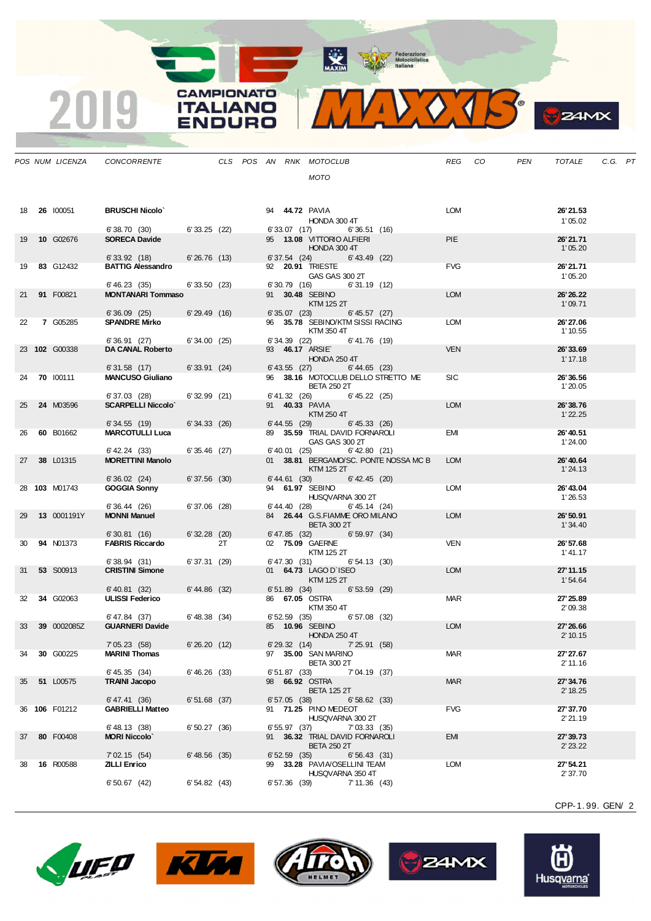MAXIM Pederazione

MIDOJS

**CAMPIONATO** 

**ITALIANO** 

**ENDURO** 

2019

|    | POS NUM LICENZA  | CONCORRENTE                              |                |    |  |                 | CLS POS AN RNK MOTOCLUB                                         |                   |                                       | REG CO     | PEN | TOTALE                | C.G. PT |  |
|----|------------------|------------------------------------------|----------------|----|--|-----------------|-----------------------------------------------------------------|-------------------|---------------------------------------|------------|-----|-----------------------|---------|--|
|    |                  |                                          |                |    |  |                 | <b>MOTO</b>                                                     |                   |                                       |            |     |                       |         |  |
|    |                  |                                          |                |    |  |                 |                                                                 |                   |                                       |            |     |                       |         |  |
|    |                  |                                          |                |    |  |                 |                                                                 |                   |                                       |            |     |                       |         |  |
| 18 | 26 100051        | <b>BRUSCHI Nicolo'</b>                   |                |    |  |                 | 94 <b>44.72 PAVIA</b><br>HONDA 300 4T                           |                   |                                       | <b>LOM</b> |     | 26'21.53<br>1'05.02   |         |  |
|    |                  | 6'38.70 (30)                             | 6'33.25(22)    |    |  |                 | 6'33.07 (17)                                                    | 6'36.51(16)       |                                       |            |     |                       |         |  |
| 19 | 10 G02676        | <b>SORECA Davide</b>                     |                |    |  |                 | 95 13.08 VITTORIO ALFIERI                                       |                   |                                       | <b>PIE</b> |     | 26'21.71              |         |  |
|    |                  | 6'33.92(18)                              | 6'26.76(13)    |    |  | 6'37.54(24)     | HONDA 300 4T                                                    | $6'$ 43.49 $(22)$ |                                       |            |     | 1'05.20               |         |  |
| 19 | 83 G12432        | <b>BATTIG Alessandro</b>                 |                |    |  |                 | 92 <b>20.91 TRIESTE</b>                                         |                   |                                       | <b>FVG</b> |     | 26' 21.71             |         |  |
|    |                  |                                          |                |    |  |                 | GAS GAS 300 2T                                                  |                   |                                       |            |     | 1'05.20               |         |  |
| 21 | 91 F00821        | 6'46.23(35)<br><b>MONTANARI Tommaso</b>  | 6'33.50(23)    |    |  |                 | 6'30.79 (16)<br>91 30.48 SEBINO                                 | 6'31.19(12)       |                                       | <b>LOM</b> |     | 26'26.22              |         |  |
|    |                  |                                          |                |    |  |                 | KTM 125 2T                                                      |                   |                                       |            |     | 1'09.71               |         |  |
| 22 | 7 G05285         | 6'36.09(25)<br><b>SPANDRE Mirko</b>      | 6'29.49(16)    |    |  |                 | 6' 35.07 (23) 6' 45.57 (27)<br>96 35.78 SEBINO/KTM SISSI RACING |                   |                                       | LOM        |     | 26' 27.06             |         |  |
|    |                  |                                          |                |    |  |                 | KTM 350 4T                                                      |                   |                                       |            |     | 1' 10.55              |         |  |
|    |                  | 6'36.91 (27)                             | 6'34.00(25)    |    |  |                 | $6'34.39$ (22) $6'41.76$ (19)                                   |                   |                                       |            |     |                       |         |  |
|    | 23 102 G00338    | DA CANAL Roberto                         |                |    |  |                 | 93 46.17 ARSIE<br>HONDA 250 4T                                  |                   |                                       | <b>VEN</b> |     | 26' 33.69<br>1' 17.18 |         |  |
|    |                  | 6'31.58(17)                              | 6'33.91(24)    |    |  |                 | $6'$ 43.55 (27) $6'$ 44.65 (23)                                 |                   |                                       |            |     |                       |         |  |
| 24 | <b>70 100111</b> | <b>MANCUSO Giuliano</b>                  |                |    |  |                 | <b>BETA 250 2T</b>                                              |                   | 96 38.16 MOTOCLUB DELLO STRETTO ME    | <b>SIC</b> |     | 26'36.56<br>1'20.05   |         |  |
|    |                  | 6'37.03 (28)                             | 6'32.99(21)    |    |  |                 | $6' 41.32$ (26) $6' 45.22$ (25)                                 |                   |                                       |            |     |                       |         |  |
| 25 | 24 M03596        | <b>SCARPELLI Niccolo'</b>                |                |    |  |                 | 91 <b>40.33 PAVIA</b>                                           |                   |                                       | <b>LOM</b> |     | 26'38.76              |         |  |
|    |                  | 6' 34.55 (19)                            | 6'34.33(26)    |    |  |                 | KTM 250 4T<br>$6' 44.55$ (29)                                   | 6' 45.33 (26)     |                                       |            |     | 1'22.25               |         |  |
| 26 | 60 B01662        | <b>MARCOTULLI Luca</b>                   |                |    |  |                 | 89 35.59 TRIAL DAVID FORNAROLI                                  |                   |                                       | EMI        |     | 26' 40.51             |         |  |
|    |                  |                                          |                |    |  |                 | GAS GAS 300 2T                                                  |                   |                                       |            |     | 1'24.00               |         |  |
| 27 | 38 L01315        | 6' 42.24 (33)<br><b>MORETTINI Manolo</b> | 6'35.46(27)    |    |  |                 | 6'40.01 (25)                                                    | $6'$ 42.80 $(21)$ | 01 38.81 BERGAMO/SC. PONTE NOSSA MC B | <b>LOM</b> |     | 26' 40.64             |         |  |
|    |                  |                                          |                |    |  |                 | KTM 125 2T                                                      |                   |                                       |            |     | 1'24.13               |         |  |
|    | 28 103 M01743    | 6'36.02(24)<br><b>GOGGIA Sonny</b>       | 6'37.56(30)    |    |  | 6' 44.61 (30)   | 94 61.97 SEBINO                                                 | $6' 42.45$ (20)   |                                       | <b>LOM</b> |     | 26' 43.04             |         |  |
|    |                  |                                          |                |    |  |                 | HUSQVARNA 300 2T                                                |                   |                                       |            |     | 1'26.53               |         |  |
|    |                  | 6'36.44(26)                              | 6'37.06(28)    |    |  |                 | 6'44.40 (28)                                                    | $6' 45.14$ (24)   |                                       |            |     |                       |         |  |
| 29 | 13 0001191Y      | <b>MONNI Manuel</b>                      |                |    |  |                 | 84 26.44 G.S.FIAMME ORO MILANO<br><b>BETA 300 2T</b>            |                   |                                       | <b>LOM</b> |     | 26'50.91<br>1'34.40   |         |  |
|    |                  | 6'30.81(16)                              | $6'32.28$ (20) |    |  | $6' 47.85$ (32) |                                                                 | 6'59.97(34)       |                                       |            |     |                       |         |  |
| 30 | <b>94 N01373</b> | <b>FABRIS Riccardo</b>                   |                | 2T |  |                 | 02 75.09 GAERNE                                                 |                   |                                       | <b>VEN</b> |     | 26' 57.68             |         |  |
|    |                  | 6'38.94(31)                              | 6'37.31(29)    |    |  |                 | KTM 125 2T<br>$6' 47.30 (31)$ $6' 54.13 (30)$                   |                   |                                       |            |     | 1' 41.17              |         |  |
| 31 | <b>53 S00913</b> | <b>CRISTINI Simone</b>                   |                |    |  |                 | 01 64.73 LAGO D'ISEO                                            |                   |                                       | <b>LOM</b> |     | 27' 11.15             |         |  |
|    |                  | $6'40.81$ (32) $6'44.86$ (32)            |                |    |  |                 | KTM 125 2T<br>6'53.59 (29) 6'53.59 (29)                         |                   |                                       |            |     | 1'54.64               |         |  |
| 32 | 34 G02063        | <b>ULISSI Federico</b>                   |                |    |  |                 | 86 67.05 OSTRA                                                  |                   |                                       | <b>MAR</b> |     | 27' 25.89             |         |  |
|    |                  |                                          |                |    |  |                 | KTM 350 4T                                                      |                   |                                       |            |     | 2'09.38               |         |  |
| 33 | 39 0002085Z      | 6'47.84 (37)<br><b>GUARNERI Davide</b>   | 6' 48.38 (34)  |    |  |                 | 6' 52.59 (35) 6' 57.08 (32)<br>85 10.96 SEBINO                  |                   |                                       | <b>LOM</b> |     | 27' 26.66             |         |  |
|    |                  |                                          |                |    |  |                 | <b>HONDA 250 4T</b>                                             |                   |                                       |            |     | 2' 10.15              |         |  |
|    | 30 G00225        | 7'05.23(58)<br><b>MARINI Thomas</b>      | 6'26.20 (12)   |    |  |                 | $6'29.32$ (14) $7'25.91$ (58)<br>97 35.00 SAN MARINO            |                   |                                       | <b>MAR</b> |     | 27' 27.67             |         |  |
| 34 |                  |                                          |                |    |  |                 | <b>BETA 300 2T</b>                                              |                   |                                       |            |     | 2' 11.16              |         |  |
|    |                  | 6' 45.35 (34)                            | 6'46.26(33)    |    |  | 6'51.87(33)     |                                                                 | 7'04.19 (37)      |                                       |            |     |                       |         |  |
| 35 | 51 L00575        | <b>TRAINI Jacopo</b>                     |                |    |  |                 | 98 66.92 OSTRA<br><b>BETA 125 2T</b>                            |                   |                                       | <b>MAR</b> |     | 27' 34.76<br>2' 18.25 |         |  |
|    |                  | 6' 47.41 (36)                            | $6'51.68$ (37) |    |  | 6'57.05(38)     |                                                                 | 6'58.62(33)       |                                       |            |     |                       |         |  |
|    | 36 106 F01212    | <b>GABRIELLI Matteo</b>                  |                |    |  |                 | 91 71.25 PINO MEDEOT<br>HUSQVARNA 300 2T                        |                   |                                       | <b>FVG</b> |     | 27' 37.70             |         |  |
|    |                  | $6'$ 48.13 (38)                          | $6'50.27$ (36) |    |  | 6'55.97(37)     |                                                                 | 7' 03.33 (35)     |                                       |            |     | 2'21.19               |         |  |
| 37 | 80 F00408        | <b>MORI Niccolo</b>                      |                |    |  |                 | 91 36.32 TRIAL DAVID FORNAROLI                                  |                   |                                       | EMI        |     | 27' 39.73             |         |  |
|    |                  | 7'02.15(54)                              | 6' 48.56 (35)  |    |  | 6'52.59(35)     | <b>BETA 250 2T</b>                                              | 6'56.43(31)       |                                       |            |     | 2' 23.22              |         |  |
| 38 | 16 R00588        | <b>ZILLI Enrico</b>                      |                |    |  |                 | 99 33.28 PAVIA/OSELLINI TEAM                                    |                   |                                       | <b>LOM</b> |     | 27' 54.21             |         |  |
|    |                  |                                          |                |    |  |                 | HUSQVARNA 350 4T                                                |                   |                                       |            |     | 2' 37.70              |         |  |
|    |                  | 6'50.67(42)                              | 6'54.82(43)    |    |  | 6'57.36(39)     |                                                                 | 7' 11.36 (43)     |                                       |            |     |                       |         |  |

CPP-1. 99. GEN/ 2

**B**Z4MX









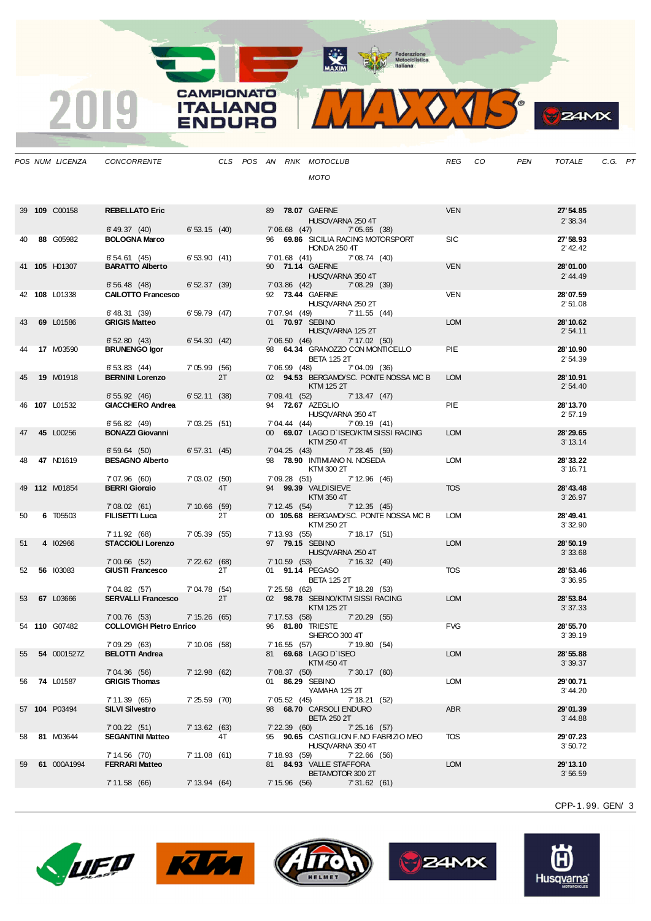CAMPIONATO **ITALIANO** 

JOURC



*POS NUM LICENZA CONCORRENTE CLS POS AN RNK MOTOCLUB REG CO PEN TOTALE C.G. PT MOTO* 39 **109** C00158 **REBELLATO Eric** 89 **78.07** GAERNE VEN **27'54.85** HUSQVARNA 250 4T 2' 38.34 6' 49.37 (40) 6' 53.15 (40) 7' 06.68 (47) 7' 05.65 (38) 40 **88** G05982 **BOLOGNA Marco** 96 **69.86** SICILIA RACING MOTORSPORT SIC **27'58.93 HONDA 250 4T** 6' 54.61 (45) 6' 53.90 (41) 7' 01.68 (41) 7' 08.74 (40) 41 **105** H01307 **BARATTO Alberto** 90 **71.14** GAERNE VEN **28'01.00** HUSQVARNA 350 4T<br>  $7' 03.86' (42)$ <br>  $7' 08.29' (39)$ 6' 56.48 (48) 6' 52.37 (39) 7' 03.86 (42) 7' 08.29 (39) 42 **108** L01338 **CAILOTTO Francesco** 92 **73.44** GAERNE VEN **28'07.59** HUSQVARNA 250 2T 2' 51.08 6' 48.31 (39) 6' 59.79 (47) 7' 07.94 (49) 7' 11.55 (44)<br>
GRIGIS Matteo 0 01 70.97 SEBINO 43 **69** L01586 **GRIGIS Matteo** 01 **70.97** SEBINO LOM **28'10.62** HUSQVARNA 125 2T 6' 52.80 (43) 6' 54.30 (42) 7' 06.50 (46) 7' 17.02 (50)<br> **BRUNENGO Igor** 98 64.34 GRANOZZO CON MONTIC 44 **17** M03590 **BRUNENGO Igor** 98 **64.34** GRANOZZO CON MONTICELLO PIE **28'10.90** BETA 125 2T<br>
7 06.99 (48) 7'04.09 (36) 6' 53.83 (44) 7' 05.99 (56) 7' 06.99 (48) 7' 04.09 (36) 45 **19** M01918 **BERNINI Lorenzo** 2T 02 **94.53** BERGAMO/SC. PONTE NOSSA MC B LOM **28'10.91** KTM 125 2T 6' 55.92 (46) 6' 52.11 (38) 7' 09.41 (52) 7' 13.47 (47)<br>
GIACCHERO Andrea 94 72.67 AZEGLIO 46 **107** L01532 **GIACCHERO Andrea** 94 **72.67** AZEGLIO PIE **28'13.70** HUSQVARNA 350 4T<br>7' 04.44 (44) 7' 09.19 6' 56.82 (49) 7' 03.25 (51) 7' 04.44 (44) 7' 09.19 (41) 47 **45** L00256 **BONAZZI Giovanni** 00 **69.07** LAGO D`ISEO/KTM SISSI RACING LOM **28'29.65**  $KTM 250 4T$ <br> $7' 04.25$   $(43)$   $7' 28.45$   $(59)$ 6' 59.64 (50) 6' 57.31 (45)<br>BESAGNO Alberto 48 **47** N01619 **BESAGNO Alberto** 98 **78.90** INTIMIANO N. NOSEDA LOM **28'33.22** KTM 300 2T<br>7' 09.28 (51) 7' 12.96 (46) 3' 16.71 7' 07.96 (60) 7' 03.02 (50)<br> **BERRI Giorgio** 4T 49 **112** M01854 **BERRI Giorgio** 4T 94 **99.39** VALDISIEVE TOS **28'43.48** KTM 350 4T<br>4) 7' 12.35 (45) 7' 08.02 (61) 7' 10.66 (59) 7' 12.45 (54) 50 **6** T05503 **FILISETTI Luca** 2T 00 **105.68** BERGAMO/SC. PONTE NOSSA MC B LOM **28'49.41** KTM 250 2T<br>5) 7' 18.17 (51) 7' 11.92 (68) 7' 05.39 (55) 7' 13.93 (55)<br>**STACCIOLI Lorenzo** 97 **79.15** S 51 **4** I02966 **STACCIOLI Lorenzo** 97 **79.15** SEBINO LOM **28'50.19** HUSQVARNA 250 4T 3' 33.68<br>
7' 10.59 (53) 7' 16.32 (49) 7' 00.66 (52) 7' 22.62 (68) 7' 10.59 (53) 7' 16.32 (49) 52 **56** I03083 **GIUSTI Francesco** 2T 01 **91.14** PEGASO TOS **28'53.46** BETA 125 2T 3' 36.95 7' 04.82 (57) 7' 04.78 (54) 7' 25.58 (62) 7' 18.28 (53)<br>**SERVALLI Francesco** 2T 02 **98.78** SEBINO/KTM SISSI RACI 53 **67** L03666 **SERVALLI Francesco** 2T 02 **98.78** SEBINO/KTM SISSI RACING LOM **28'53.84**  $KTM$  125 2T<br> $7'$  17.53 (58) 7' 00.76 (53) 7' 15.26 (65) 7' 17.53 (58) 7' 20.29 (55)<br>**COLLOVIGH Pietro Enrico** 96 **81.80** TRIESTE 54 **110** G07482 **COLLOVIGH Pietro Enrico** 96 **81.80** TRIESTE FVG **28'55.70** SHERCO 300 4T 3' 39.19<br>
7' 16.55 (57) 7' 19.80 (54) 7' 09.29 (63) 7' 10.06 (58) 7' 16.55 (57) 7' 19.80 (54) 55 **54** 0001527Z **BELOTTI Andrea** 81 **69.68** LAGO D`ISEO LOM **28'55.88**  $KTM$  450 4T<br>7' 08.37 (50) 7' 04.36 (56) 7' 12.98 (62) 7' 08.37 (50) 7' 30.17 (60) 56 **74** L01587 **GRIGIS Thomas** 01 **86.29** SEBINO LOM **29'00.71** YAMAHA 125 2T 3' 44.20<br>
7' 05.52 (45) 7' 18.21 (52) 7' 11.39 (65) 7' 25.59 (70) 7' 05.52 (45) 7' 18.21 (52) 57 **104** P03494 **SILVI Silvestro** 98 **68.70** CARSOLI ENDURO ABR **29'01.39** BETA 250 2T<br>
7'22.39 (60) 7'25.16 (57) 3' 44.88 7' 00.22 (51) 7' 13.62 (63) 7' 22.39 (60) 7' 25.16 (57) 58 **81** M03644 **SEGANTINI Matteo** 4T 95 **90.65** CASTIGLION F.NO FABRIZIO MEO TOS **29'07.23** HUSQVARNA 350 4T 7' 14.56 (70) 7' 11.08 (61) 7' 18.93 (59) 7' 22.66 (56)<br>**FERRARI Matteo** 81 84.93 VALLE STAFFORA 59 **61** 000A1994 **FERRARI Matteo** 81 **84.93** VALLE STAFFORA LOM **29'13.10** BETAMOTOR 300 2T<br>15.96 (56) 7' 31.62 7' 11.58 (66) 7' 13.94 (64) 7' 15.96 (56) 7' 31.62 (61)

CPP-1. 99. GEN/ 3

 $24MX$ 









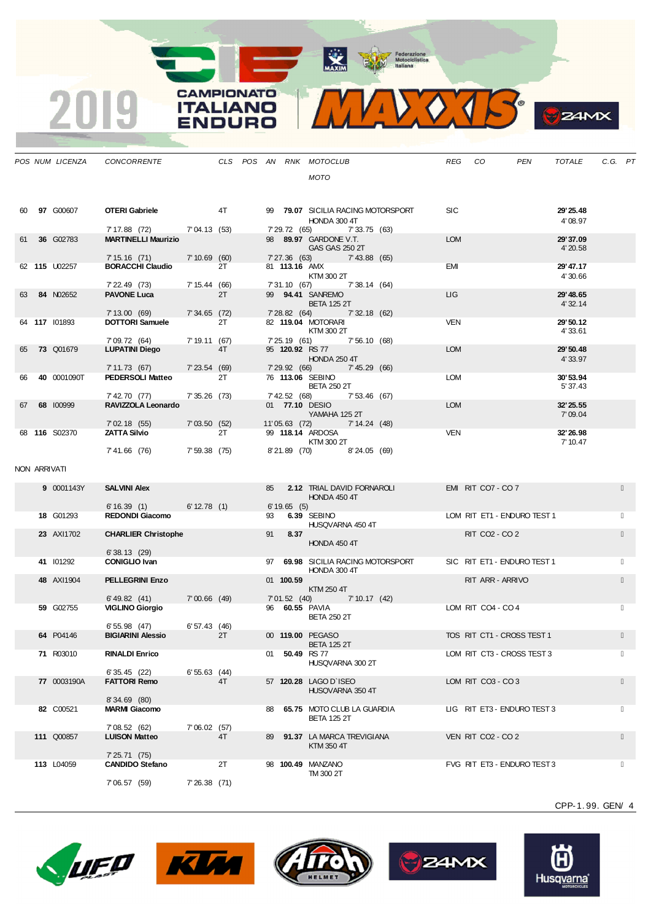MAXIM Pederazione

**CAMPIONATO** 

**ITALIANO** 

**ENDURO** 

2019



**B**zamx

|    |              | POS NUM LICENZA  | CONCORRENTE                                               |                |    |    |               | CLS POS AN RNK MOTOCLUB                                       | REG CO     |                                       | PEN | TOTALE                | C.G. PT |  |
|----|--------------|------------------|-----------------------------------------------------------|----------------|----|----|---------------|---------------------------------------------------------------|------------|---------------------------------------|-----|-----------------------|---------|--|
|    |              |                  |                                                           |                |    |    |               | MOTO                                                          |            |                                       |     |                       |         |  |
|    |              | 60 97 G00607     | <b>OTERI Gabriele</b>                                     |                | 4T |    |               | 99 79.07 SICILIA RACING MOTORSPORT<br>HONDA 300 4T            | <b>SIC</b> |                                       |     | 29' 25.48<br>4'08.97  |         |  |
| 61 |              | 36 G02783        | 7' 17.88 (72) 7' 04.13 (53)<br><b>MARTINELLI Maurizio</b> |                |    |    | 7' 29.72 (65) | 7'33.75 (63)<br>98 89.97 GARDONE V.T.<br>GAS GAS 250 2T       | <b>LOM</b> |                                       |     | 29' 37.09<br>4'20.58  |         |  |
|    |              | 62 115 U02257    | 7' 15.16 (71)<br><b>BORACCHI Claudio</b>                  | 7'10.69(60)    | 2T |    | 81 113.16 AMX | 7' 27.36 (63) 7' 43.88 (65)<br>KTM 300 2T                     | EMI        |                                       |     | 29' 47.17<br>4'30.66  |         |  |
| 63 |              | 84 N02652        | 7' 22.49 (73)<br><b>PAVONE Luca</b>                       | 7'15.44(66)    | 2T |    | 7' 31.10 (67) | 7'38.14 (64)<br>99 94.41 SANREMO<br><b>BETA 125 2T</b>        | <b>LIG</b> |                                       |     | 29' 48.65<br>4' 32.14 |         |  |
|    |              | 64 117 101893    | 7'13.00(69)<br><b>DOTTORI Samuele</b>                     | 7'34.65(72)    | 2T |    | 7' 28.82 (64) | 7' 32.18 (62)<br>82 119.04 MOTORARI                           | <b>VEN</b> |                                       |     | 29' 50.12             |         |  |
|    |              |                  | 7'09.72 (64)                                              | 7'19.11(67)    |    |    |               | KTM 300 2T<br>7'25.19 (61) 7'56.10 (68)                       |            |                                       |     | 4'33.61               |         |  |
| 65 |              | <b>73 Q01679</b> | <b>LUPATINI Diego</b>                                     |                | 4T |    |               | 95 <b>120.92</b> RS 77<br><b>HONDA 250 4T</b>                 | <b>LOM</b> |                                       |     | 29' 50.48<br>4'33.97  |         |  |
| 66 |              | 40 0001090T      | 7' 11.73 (67)<br><b>PEDERSOLI Matteo</b>                  | 7'23.54(69)    | 2T |    |               | 7'29.92 (66) 7'45.29 (66)<br>76 113.06 SEBINO                 | <b>LOM</b> |                                       |     | 30'53.94              |         |  |
|    |              |                  | 7' 42.70 (77)                                             | $7'35.26$ (73) |    |    |               | <b>BETA 250 2T</b><br>7' 42.52 (68) 7' 53.46 (67)             |            |                                       |     | 5' 37.43              |         |  |
| 67 |              | 68 100999        | RAVIZZOLA Leonardo<br>7'02.18(55)                         | 7'03.50(52)    |    |    |               | 01 77.10 DESIO<br>YAMAHA 125 2T<br>11'05.63 (72) 7'14.24 (48) | <b>LOM</b> |                                       |     | 32' 25.55<br>7'09.04  |         |  |
|    |              | 68 116 S02370    | <b>ZATTA Silvio</b>                                       |                | 2T |    |               | 99 118.14 ARDOSA<br>KTM 300 2T                                | VEN        |                                       |     | 32' 26.98<br>7' 10.47 |         |  |
|    |              |                  | 7'41.66 (76)                                              | 7'59.38(75)    |    |    |               | 8'21.89 (70)<br>8'24.05 (69)                                  |            |                                       |     |                       |         |  |
|    | NON ARRIVATI |                  |                                                           |                |    |    |               |                                                               |            |                                       |     |                       |         |  |
|    |              | 9 0001143Y       | <b>SALVINI Alex</b>                                       |                |    | 85 |               | 2.12 TRIAL DAVID FORNAROLI<br>HONDA 450 4T                    |            | EMI RIT CO7 - CO 7                    |     |                       |         |  |
|    |              | 18 G01293        | $6'16.39(1)$ 6'12.78 (1)<br><b>REDONDI Giacomo</b>        |                |    | 93 | 6'19.65(5)    | 6.39 SEBINO                                                   |            | LOM RIT ET1 - ENDURO TEST 1           |     |                       |         |  |
|    |              | 23 AXI1702       | <b>CHARLIER Christophe</b>                                |                |    | 91 | 8.37          | HUSQVARNA 450 4T<br>HONDA 450 4T                              |            | RIT CO <sub>2</sub> - CO <sub>2</sub> |     |                       |         |  |
|    |              | 41 101292        | 6'38.13(29)<br><b>CONIGLIO Ivan</b>                       |                |    |    |               | 97 69.98 SICILIA RACING MOTORSPORT                            |            | SIC RIT ET1 - ENDURO TEST 1           |     |                       |         |  |
|    |              | 48 AXI1904       | <b>PELLEGRINI Enzo</b>                                    |                |    |    | 01 100.59     | HONDA 300 4T                                                  |            | RIT ARR - ARRIVO                      |     |                       |         |  |
|    |              |                  | 6' 49.82 (41)                                             | $7'00.66$ (49) |    |    | 7'01.52(40)   | KTM 250 4T<br>7' 10.17 (42)                                   |            |                                       |     |                       |         |  |
|    |              | 59 G02755        | <b>VIGLINO Giorgio</b><br>6'55.98(47)                     | 6'57.43(46)    |    |    |               | 96 60.55 PAVIA<br><b>BETA 250 2T</b>                          |            | LOM RIT CO4 - CO 4                    |     |                       |         |  |
|    |              | 64 P04146        | <b>BIGIARINI Alessio</b>                                  |                | 2T |    |               | 00 119.00 PEGASO<br><b>BETA 125 2T</b>                        |            | TOS RIT CT1 - CROSS TEST 1            |     |                       |         |  |
|    |              | 71 R03010        | <b>RINALDI Enrico</b>                                     |                |    |    |               | 01 50.49 RS 77<br>HUSQVARNA 300 2T                            |            | LOM RIT CT3 - CROSS TEST 3            |     |                       |         |  |
|    |              | 77 0003190A      | 6'35.45(22)<br><b>FATTORI Remo</b>                        | 6'55.63(44)    | 4T |    |               | 57 120.28 LAGO D'ISEO<br>HUSQVARNA 350 4T                     |            | LOM RIT CO3 - CO3                     |     |                       |         |  |
|    |              | 82 C00521        | 8'34.69 (80)<br><b>MARMI Giacomo</b>                      |                |    |    |               | 88 65.75 MOTO CLUB LA GUARDIA                                 |            | LIG RIT ET3 - ENDURO TEST 3           |     |                       |         |  |
|    |              |                  | 7'08.52 (62)                                              | 7'06.02(57)    |    |    |               | <b>BETA 125 2T</b>                                            |            |                                       |     |                       |         |  |
|    |              | 111 Q00857       | <b>LUISON Matteo</b><br>7'25.71(75)                       |                | 4T | 89 |               | 91.37 LA MARCA TREVIGIANA<br>KTM 350 4T                       |            | VEN RIT CO2 - CO 2                    |     |                       |         |  |
|    |              | 113 L04059       | <b>CANDIDO Stefano</b>                                    |                | 2T |    |               | 98 100.49 MANZANO                                             |            | FVG RIT ET3 - ENDURO TEST 3           |     |                       |         |  |
|    |              |                  | 7'06.57 (59)                                              | 7'26.38(71)    |    |    |               | TM 300 2T                                                     |            |                                       |     |                       |         |  |











CPP-1. 99. GEN/ 4